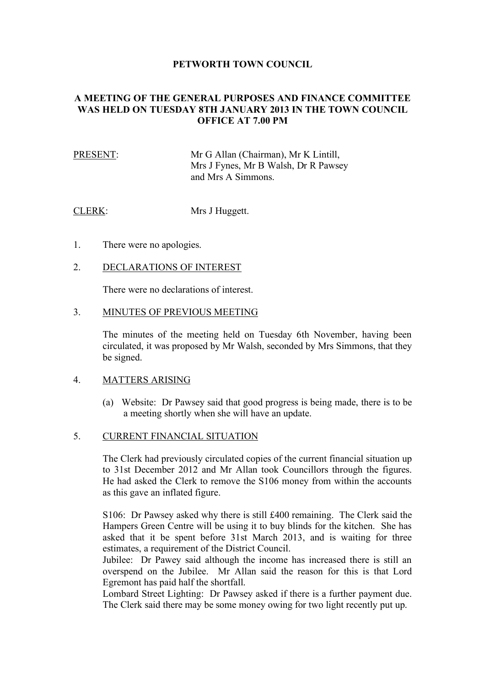## **PETWORTH TOWN COUNCIL**

# **A MEETING OF THE GENERAL PURPOSES AND FINANCE COMMITTEE WAS HELD ON TUESDAY 8TH JANUARY 2013 IN THE TOWN COUNCIL OFFICE AT 7.00 PM**

# PRESENT: Mr G Allan (Chairman), Mr K Lintill, Mrs J Fynes, Mr B Walsh, Dr R Pawsey and Mrs A Simmons.

CLERK: Mrs J Huggett.

1. There were no apologies.

#### 2. DECLARATIONS OF INTEREST

There were no declarations of interest.

#### 3. MINUTES OF PREVIOUS MEETING

The minutes of the meeting held on Tuesday 6th November, having been circulated, it was proposed by Mr Walsh, seconded by Mrs Simmons, that they be signed.

#### 4. MATTERS ARISING

(a) Website: Dr Pawsey said that good progress is being made, there is to be a meeting shortly when she will have an update.

## 5. CURRENT FINANCIAL SITUATION

The Clerk had previously circulated copies of the current financial situation up to 31st December 2012 and Mr Allan took Councillors through the figures. He had asked the Clerk to remove the S106 money from within the accounts as this gave an inflated figure.

S106: Dr Pawsey asked why there is still £400 remaining. The Clerk said the Hampers Green Centre will be using it to buy blinds for the kitchen. She has asked that it be spent before 31st March 2013, and is waiting for three estimates, a requirement of the District Council.

Jubilee: Dr Pawey said although the income has increased there is still an overspend on the Jubilee. Mr Allan said the reason for this is that Lord Egremont has paid half the shortfall.

Lombard Street Lighting: Dr Pawsey asked if there is a further payment due. The Clerk said there may be some money owing for two light recently put up.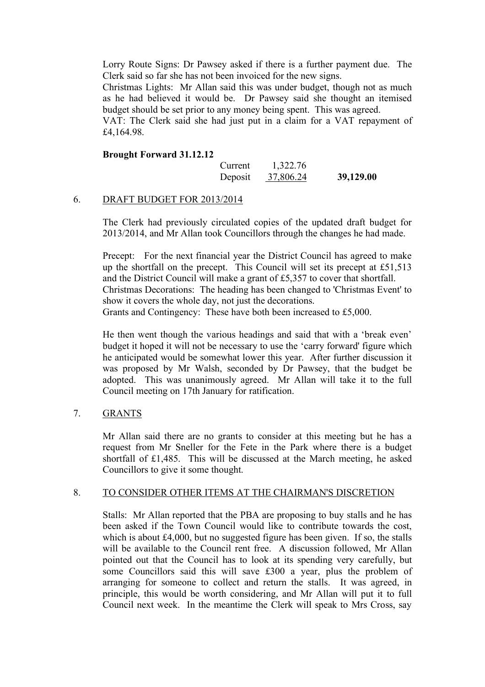Lorry Route Signs: Dr Pawsey asked if there is a further payment due. The Clerk said so far she has not been invoiced for the new signs.

Christmas Lights: Mr Allan said this was under budget, though not as much as he had believed it would be. Dr Pawsey said she thought an itemised budget should be set prior to any money being spent. This was agreed.

VAT: The Clerk said she had just put in a claim for a VAT repayment of £4,164.98.

#### **Brought Forward 31.12.12**

| Current | 1,322.76  |           |
|---------|-----------|-----------|
| Deposit | 37,806.24 | 39,129.00 |

## 6. DRAFT BUDGET FOR 2013/2014

The Clerk had previously circulated copies of the updated draft budget for 2013/2014, and Mr Allan took Councillors through the changes he had made.

Precept: For the next financial year the District Council has agreed to make up the shortfall on the precept. This Council will set its precept at £51,513 and the District Council will make a grant of £5,357 to cover that shortfall. Christmas Decorations: The heading has been changed to 'Christmas Event' to show it covers the whole day, not just the decorations. Grants and Contingency: These have both been increased to £5,000.

He then went though the various headings and said that with a 'break even' budget it hoped it will not be necessary to use the 'carry forward' figure which he anticipated would be somewhat lower this year. After further discussion it was proposed by Mr Walsh, seconded by Dr Pawsey, that the budget be adopted. This was unanimously agreed. Mr Allan will take it to the full Council meeting on 17th January for ratification.

# 7. GRANTS

Mr Allan said there are no grants to consider at this meeting but he has a request from Mr Sneller for the Fete in the Park where there is a budget shortfall of £1,485. This will be discussed at the March meeting, he asked Councillors to give it some thought.

## 8. TO CONSIDER OTHER ITEMS AT THE CHAIRMAN'S DISCRETION

Stalls: Mr Allan reported that the PBA are proposing to buy stalls and he has been asked if the Town Council would like to contribute towards the cost, which is about £4,000, but no suggested figure has been given. If so, the stalls will be available to the Council rent free. A discussion followed, Mr Allan pointed out that the Council has to look at its spending very carefully, but some Councillors said this will save £300 a year, plus the problem of arranging for someone to collect and return the stalls. It was agreed, in principle, this would be worth considering, and Mr Allan will put it to full Council next week. In the meantime the Clerk will speak to Mrs Cross, say